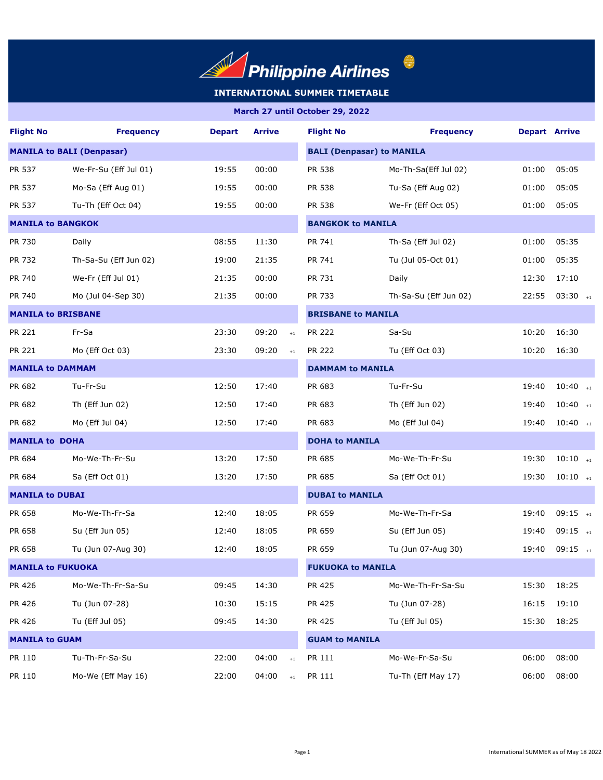

 $\begin{picture}(20,20) \put(0,0){\line(1,0){155}} \put(15,0){\line(1,0){155}} \put(15,0){\line(1,0){155}} \put(15,0){\line(1,0){155}} \put(15,0){\line(1,0){155}} \put(15,0){\line(1,0){155}} \put(15,0){\line(1,0){155}} \put(15,0){\line(1,0){155}} \put(15,0){\line(1,0){155}} \put(15,0){\line(1,0){155}} \put(15,0){\line(1,0){155}} \$ 

| <b>Flight No</b>                 | <b>Frequency</b>      | <b>Depart</b> | <b>Arrive</b> | <b>Flight No</b>      | <b>Frequency</b>                 | <b>Depart Arrive</b> |                       |  |  |  |
|----------------------------------|-----------------------|---------------|---------------|-----------------------|----------------------------------|----------------------|-----------------------|--|--|--|
| <b>MANILA to BALI (Denpasar)</b> |                       |               |               |                       | <b>BALI (Denpasar) to MANILA</b> |                      |                       |  |  |  |
| PR 537                           | We-Fr-Su (Eff Jul 01) | 19:55         | 00:00         | PR 538                | Mo-Th-Sa(Eff Jul 02)             | 01:00                | 05:05                 |  |  |  |
| PR 537                           | Mo-Sa (Eff Aug 01)    | 19:55         | 00:00         | PR 538                | Tu-Sa (Eff Aug 02)               | 01:00                | 05:05                 |  |  |  |
| PR 537                           | Tu-Th (Eff Oct 04)    | 19:55         | 00:00         | PR 538                | We-Fr (Eff Oct 05)               | 01:00                | 05:05                 |  |  |  |
| <b>MANILA to BANGKOK</b>         |                       |               |               |                       | <b>BANGKOK to MANILA</b>         |                      |                       |  |  |  |
| PR 730                           | Daily                 | 08:55         | 11:30         | PR 741                | Th-Sa (Eff Jul 02)               | 01:00                | 05:35                 |  |  |  |
| PR 732                           | Th-Sa-Su (Eff Jun 02) | 19:00         | 21:35         | PR 741                | Tu (Jul 05-Oct 01)               | 01:00                | 05:35                 |  |  |  |
| PR 740                           | We-Fr (Eff Jul 01)    | 21:35         | 00:00         | PR 731                | Daily                            | 12:30                | 17:10                 |  |  |  |
| PR 740                           | Mo (Jul 04-Sep 30)    | 21:35         | 00:00         | PR 733                | Th-Sa-Su (Eff Jun 02)            | 22:55                | $03:30$ <sub>+1</sub> |  |  |  |
| <b>MANILA to BRISBANE</b>        |                       |               |               |                       | <b>BRISBANE to MANILA</b>        |                      |                       |  |  |  |
| <b>PR 221</b>                    | Fr-Sa                 | 23:30         | 09:20         | <b>PR 222</b><br>$+1$ | Sa-Su                            | 10:20                | 16:30                 |  |  |  |
| PR 221                           | Mo (Eff Oct 03)       | 23:30         | 09:20         | <b>PR 222</b><br>$+1$ | Tu (Eff Oct 03)                  | 10:20                | 16:30                 |  |  |  |
| <b>MANILA to DAMMAM</b>          |                       |               |               |                       | <b>DAMMAM to MANILA</b>          |                      |                       |  |  |  |
| PR 682                           | Tu-Fr-Su              | 12:50         | 17:40         | PR 683                | Tu-Fr-Su                         | 19:40                | $10:40$ +1            |  |  |  |
| PR 682                           | Th (Eff Jun 02)       | 12:50         | 17:40         | PR 683                | Th (Eff Jun 02)                  | 19:40                | $10:40$ +1            |  |  |  |
| PR 682                           | Mo (Eff Jul 04)       | 12:50         | 17:40         | PR 683                | Mo (Eff Jul 04)                  | 19:40                | $10:40$ +1            |  |  |  |
| <b>MANILA to DOHA</b>            |                       |               |               |                       | <b>DOHA to MANILA</b>            |                      |                       |  |  |  |
| PR 684                           | Mo-We-Th-Fr-Su        | 13:20         | 17:50         | PR 685                | Mo-We-Th-Fr-Su                   | 19:30                | $10:10$ +1            |  |  |  |
| PR 684                           | Sa (Eff Oct 01)       | 13:20         | 17:50         | PR 685                | Sa (Eff Oct 01)                  | 19:30                | $10:10$ $_{+1}$       |  |  |  |
| <b>MANILA to DUBAI</b>           |                       |               |               |                       | <b>DUBAI to MANILA</b>           |                      |                       |  |  |  |
| PR 658                           | Mo-We-Th-Fr-Sa        | 12:40         | 18:05         | PR 659                | Mo-We-Th-Fr-Sa                   | 19:40                | $09:15$ +1            |  |  |  |
| PR 658                           | Su (Eff Jun 05)       | 12:40         | 18:05         | PR 659                | Su (Eff Jun 05)                  | 19:40                | $09:15$ <sub>+1</sub> |  |  |  |
| PR 658                           | Tu (Jun 07-Aug 30)    | 12:40         | 18:05         | PR 659                | Tu (Jun 07-Aug 30)               | 19:40                | $09:15$ +1            |  |  |  |
| <b>MANILA to FUKUOKA</b>         |                       |               |               |                       | <b>FUKUOKA to MANILA</b>         |                      |                       |  |  |  |
| PR 426                           | Mo-We-Th-Fr-Sa-Su     | 09:45         | 14:30         | PR 425                | Mo-We-Th-Fr-Sa-Su                | 15:30                | 18:25                 |  |  |  |
| PR 426                           | Tu (Jun 07-28)        | 10:30         | 15:15         | PR 425                | Tu (Jun 07-28)                   | 16:15                | 19:10                 |  |  |  |
| PR 426                           | Tu (Eff Jul 05)       | 09:45         | 14:30         | PR 425                | Tu (Eff Jul 05)                  | 15:30                | 18:25                 |  |  |  |
| <b>MANILA to GUAM</b>            |                       |               |               |                       | <b>GUAM to MANILA</b>            |                      |                       |  |  |  |
| PR 110                           | Tu-Th-Fr-Sa-Su        | 22:00         | 04:00         | PR 111<br>$+1$        | Mo-We-Fr-Sa-Su                   | 06:00                | 08:00                 |  |  |  |
| PR 110                           | Mo-We (Eff May 16)    | 22:00         | 04:00         | PR 111<br>$\pm 1$     | Tu-Th (Eff May 17)               | 06:00                | 08:00                 |  |  |  |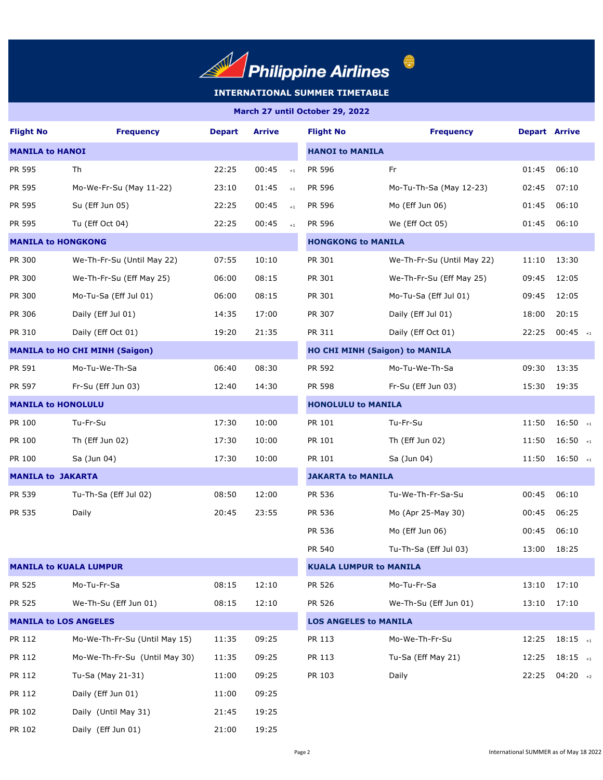

| <b>Flight No</b>             | <b>Frequency</b>                      | <b>Depart</b> | <b>Arrive</b>             | <b>Flight No</b>             | <b>Frequency</b>                      | <b>Depart Arrive</b> |            |  |  |
|------------------------------|---------------------------------------|---------------|---------------------------|------------------------------|---------------------------------------|----------------------|------------|--|--|
| <b>MANILA to HANOI</b>       |                                       |               |                           |                              | <b>HANOI to MANILA</b>                |                      |            |  |  |
| PR 595                       | Th                                    | 22:25         | 00:45<br>$\pm 1$          | PR 596                       | Fr                                    | 01:45                | 06:10      |  |  |
| PR 595                       | Mo-We-Fr-Su (May 11-22)               | 23:10         | 01:45<br>$+1$             | PR 596                       | Mo-Tu-Th-Sa (May 12-23)               | 02:45                | 07:10      |  |  |
| PR 595                       | Su (Eff Jun 05)                       | 22:25         | 00:45<br>$+1$             | PR 596                       | Mo (Eff Jun 06)                       | 01:45                | 06:10      |  |  |
| PR 595                       | Tu (Eff Oct 04)                       | 22:25         | 00:45<br>$+1$             | PR 596                       | We (Eff Oct 05)                       | 01:45                | 06:10      |  |  |
| <b>MANILA to HONGKONG</b>    |                                       |               |                           | <b>HONGKONG to MANILA</b>    |                                       |                      |            |  |  |
| PR 300                       | We-Th-Fr-Su (Until May 22)            | 07:55         | 10:10                     | PR 301                       | We-Th-Fr-Su (Until May 22)            | 11:10                | 13:30      |  |  |
| PR 300                       | We-Th-Fr-Su (Eff May 25)              | 06:00         | 08:15                     | PR 301                       | We-Th-Fr-Su (Eff May 25)              | 09:45                | 12:05      |  |  |
| PR 300                       | Mo-Tu-Sa (Eff Jul 01)                 | 06:00         | 08:15                     | PR 301                       | Mo-Tu-Sa (Eff Jul 01)                 | 09:45                | 12:05      |  |  |
| PR 306                       | Daily (Eff Jul 01)                    | 14:35         | 17:00                     | PR 307                       | Daily (Eff Jul 01)                    | 18:00                | 20:15      |  |  |
| PR 310                       | Daily (Eff Oct 01)                    | 19:20         | 21:35                     | PR 311                       | Daily (Eff Oct 01)                    | 22:25                | $00:45$ +1 |  |  |
|                              | <b>MANILA to HO CHI MINH (Saigon)</b> |               |                           |                              | <b>HO CHI MINH (Saigon) to MANILA</b> |                      |            |  |  |
| PR 591                       | Mo-Tu-We-Th-Sa                        | 06:40         | 08:30                     | PR 592                       | Mo-Tu-We-Th-Sa                        | 09:30                | 13:35      |  |  |
| PR 597                       | Fr-Su (Eff Jun 03)                    | 12:40         | 14:30                     | PR 598                       | Fr-Su (Eff Jun 03)                    | 15:30                | 19:35      |  |  |
| <b>MANILA to HONOLULU</b>    |                                       |               | <b>HONOLULU to MANILA</b> |                              |                                       |                      |            |  |  |
| PR 100                       | Tu-Fr-Su                              | 17:30         | 10:00                     | PR 101                       | Tu-Fr-Su                              | 11:50                | $16:50$ +1 |  |  |
| PR 100                       | Th (Eff Jun 02)                       | 17:30         | 10:00                     | PR 101                       | Th (Eff Jun 02)                       | 11:50                | $16:50$ +1 |  |  |
| PR 100                       | Sa (Jun 04)                           | 17:30         | 10:00                     | PR 101                       | Sa (Jun 04)                           | 11:50                | $16:50$ +1 |  |  |
| <b>MANILA to JAKARTA</b>     |                                       |               |                           |                              | <b>JAKARTA to MANILA</b>              |                      |            |  |  |
| PR 539                       | Tu-Th-Sa (Eff Jul 02)                 | 08:50         | 12:00                     | PR 536                       | Tu-We-Th-Fr-Sa-Su                     | 00:45                | 06:10      |  |  |
| PR 535                       | Daily                                 | 20:45         | 23:55                     | PR 536                       | Mo (Apr 25-May 30)                    | 00:45                | 06:25      |  |  |
|                              |                                       |               |                           | PR 536                       | Mo (Eff Jun 06)                       | 00:45                | 06:10      |  |  |
|                              |                                       |               |                           | PR 540                       | Tu-Th-Sa (Eff Jul 03)                 | 13:00                | 18:25      |  |  |
|                              | <b>MANILA to KUALA LUMPUR</b>         |               |                           |                              | <b>KUALA LUMPUR to MANILA</b>         |                      |            |  |  |
| PR 525                       | Mo-Tu-Fr-Sa                           | 08:15         | 12:10                     | PR 526                       | Mo-Tu-Fr-Sa                           | 13:10                | 17:10      |  |  |
| PR 525                       | We-Th-Su (Eff Jun 01)                 | 08:15         | 12:10                     | PR 526                       | We-Th-Su (Eff Jun 01)                 | 13:10                | 17:10      |  |  |
| <b>MANILA to LOS ANGELES</b> |                                       |               |                           | <b>LOS ANGELES to MANILA</b> |                                       |                      |            |  |  |
| PR 112                       | Mo-We-Th-Fr-Su (Until May 15)         | 11:35         | 09:25                     | PR 113                       | Mo-We-Th-Fr-Su                        | 12:25                | $18:15$ +1 |  |  |
| PR 112                       | Mo-We-Th-Fr-Su (Until May 30)         | 11:35         | 09:25                     | PR 113                       | Tu-Sa (Eff May 21)                    | 12:25                | $18:15$ +1 |  |  |
| PR 112                       | Tu-Sa (May 21-31)                     | 11:00         | 09:25                     | PR 103                       | Daily                                 | 22:25                | $04:20$ +2 |  |  |
| PR 112                       | Daily (Eff Jun 01)                    | 11:00         | 09:25                     |                              |                                       |                      |            |  |  |
| PR 102                       | Daily (Until May 31)                  | 21:45         | 19:25                     |                              |                                       |                      |            |  |  |
| PR 102                       | Daily (Eff Jun 01)                    | 21:00         | 19:25                     |                              |                                       |                      |            |  |  |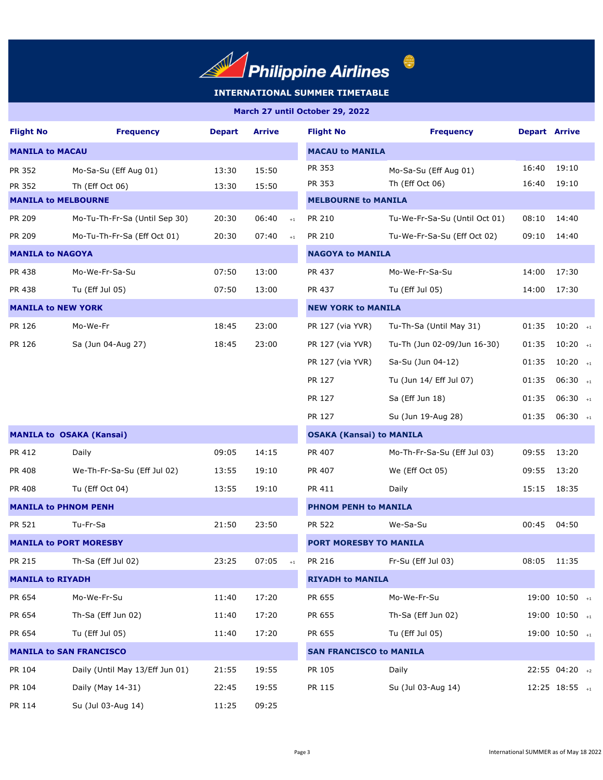

 $\begin{picture}(20,20) \put(0,0){\line(1,0){155}} \put(15,0){\line(1,0){155}} \put(15,0){\line(1,0){155}} \put(15,0){\line(1,0){155}} \put(15,0){\line(1,0){155}} \put(15,0){\line(1,0){155}} \put(15,0){\line(1,0){155}} \put(15,0){\line(1,0){155}} \put(15,0){\line(1,0){155}} \put(15,0){\line(1,0){155}} \put(15,0){\line(1,0){155}} \$ 

| <b>Flight No</b>               | <b>Frequency</b>                | <b>Depart</b>                  | <b>Arrive</b>           | <b>Flight No</b>                | <b>Frequency</b>              | <b>Depart Arrive</b> |                               |  |  |
|--------------------------------|---------------------------------|--------------------------------|-------------------------|---------------------------------|-------------------------------|----------------------|-------------------------------|--|--|
| <b>MANILA to MACAU</b>         |                                 |                                | <b>MACAU to MANILA</b>  |                                 |                               |                      |                               |  |  |
| PR 352                         | Mo-Sa-Su (Eff Aug 01)           | 13:30                          | 15:50                   | PR 353                          | Mo-Sa-Su (Eff Aug 01)         | 16:40                | 19:10                         |  |  |
| PR 352                         | Th (Eff Oct 06)                 | 13:30                          | 15:50                   | PR 353                          | Th (Eff Oct 06)               | 16:40                | 19:10                         |  |  |
| <b>MANILA to MELBOURNE</b>     |                                 |                                |                         | <b>MELBOURNE to MANILA</b>      |                               |                      |                               |  |  |
| PR 209                         | Mo-Tu-Th-Fr-Sa (Until Sep 30)   | 20:30                          | 06:40<br>$\pm 1$        | PR 210                          | Tu-We-Fr-Sa-Su (Until Oct 01) | 08:10                | 14:40                         |  |  |
| <b>PR 209</b>                  | Mo-Tu-Th-Fr-Sa (Eff Oct 01)     | 20:30                          | 07:40<br>$+1$           | PR 210                          | Tu-We-Fr-Sa-Su (Eff Oct 02)   | 09:10                | 14:40                         |  |  |
| <b>MANILA to NAGOYA</b>        |                                 |                                |                         |                                 | <b>NAGOYA to MANILA</b>       |                      |                               |  |  |
| PR 438                         | Mo-We-Fr-Sa-Su                  | 07:50                          | 13:00                   | PR 437                          | Mo-We-Fr-Sa-Su                | 14:00                | 17:30                         |  |  |
| PR 438                         | Tu (Eff Jul 05)                 | 07:50                          | 13:00                   | PR 437                          | Tu (Eff Jul 05)               | 14:00                | 17:30                         |  |  |
| <b>MANILA to NEW YORK</b>      |                                 |                                |                         | <b>NEW YORK to MANILA</b>       |                               |                      |                               |  |  |
| PR 126                         | Mo-We-Fr                        | 18:45                          | 23:00                   | PR 127 (via YVR)                | Tu-Th-Sa (Until May 31)       | 01:35                | $10:20$ <sub>+1</sub>         |  |  |
| PR 126                         | Sa (Jun 04-Aug 27)              | 18:45                          | 23:00                   | PR 127 (via YVR)                | Tu-Th (Jun 02-09/Jun 16-30)   | 01:35                | $10:20$ +1                    |  |  |
|                                |                                 |                                |                         | PR 127 (via YVR)                | Sa-Su (Jun 04-12)             | 01:35                | $10:20$ +1                    |  |  |
|                                |                                 |                                |                         | PR 127                          | Tu (Jun 14/ Eff Jul 07)       | 01:35                | $06:30$ +1                    |  |  |
|                                |                                 |                                |                         | PR 127                          | Sa (Eff Jun 18)               | 01:35                | $06:30$ +1                    |  |  |
|                                |                                 |                                |                         | PR 127                          | Su (Jun 19-Aug 28)            | 01:35                | $06:30$ <sub>+1</sub>         |  |  |
|                                | <b>MANILA to OSAKA (Kansai)</b> |                                |                         | <b>OSAKA (Kansai) to MANILA</b> |                               |                      |                               |  |  |
| PR 412                         | Daily                           | 09:05                          | 14:15                   | PR 407                          | Mo-Th-Fr-Sa-Su (Eff Jul 03)   | 09:55                | 13:20                         |  |  |
| PR 408                         | We-Th-Fr-Sa-Su (Eff Jul 02)     | 13:55                          | 19:10                   | PR 407                          | We (Eff Oct 05)               | 09:55                | 13:20                         |  |  |
| PR 408                         | Tu (Eff Oct 04)                 | 13:55                          | 19:10                   | PR 411                          | Daily                         | 15:15                | 18:35                         |  |  |
| <b>MANILA to PHNOM PENH</b>    |                                 | <b>PHNOM PENH to MANILA</b>    |                         |                                 |                               |                      |                               |  |  |
| PR 521                         | Tu-Fr-Sa                        | 21:50                          | 23:50                   | <b>PR 522</b>                   | We-Sa-Su                      | 00:45                | 04:50                         |  |  |
|                                | <b>MANILA to PORT MORESBY</b>   |                                |                         | <b>PORT MORESBY TO MANILA</b>   |                               |                      |                               |  |  |
| PR 215                         | Th-Sa (Eff Jul 02)              | 23:25                          | 07:05<br>$+1$           | PR 216                          | Fr-Su (Eff Jul 03)            | 08:05                | 11:35                         |  |  |
| <b>MANILA to RIYADH</b>        |                                 |                                | <b>RIYADH to MANILA</b> |                                 |                               |                      |                               |  |  |
| PR 654                         | Mo-We-Fr-Su                     | 11:40                          | 17:20                   | PR 655                          | Mo-We-Fr-Su                   |                      | $19:00$ $10:50$ $_{+1}$       |  |  |
| PR 654                         | Th-Sa (Eff Jun 02)              | 11:40                          | 17:20                   | PR 655                          | Th-Sa (Eff Jun 02)            |                      | 19:00 10:50 +1                |  |  |
| PR 654                         | Tu (Eff Jul 05)                 | 11:40                          | 17:20                   | PR 655                          | Tu (Eff Jul 05)               |                      | $19:00$ $10:50$ $_{+1}$       |  |  |
| <b>MANILA to SAN FRANCISCO</b> |                                 | <b>SAN FRANCISCO to MANILA</b> |                         |                                 |                               |                      |                               |  |  |
| PR 104                         | Daily (Until May 13/Eff Jun 01) | 21:55                          | 19:55                   | PR 105                          | Daily                         |                      | 22:55 04:20 +2                |  |  |
| PR 104                         | Daily (May 14-31)               | 22:45                          | 19:55                   | PR 115                          | Su (Jul 03-Aug 14)            |                      | $12:25$ $18:55$ $\rightarrow$ |  |  |
| PR 114                         | Su (Jul 03-Aug 14)              | 11:25                          | 09:25                   |                                 |                               |                      |                               |  |  |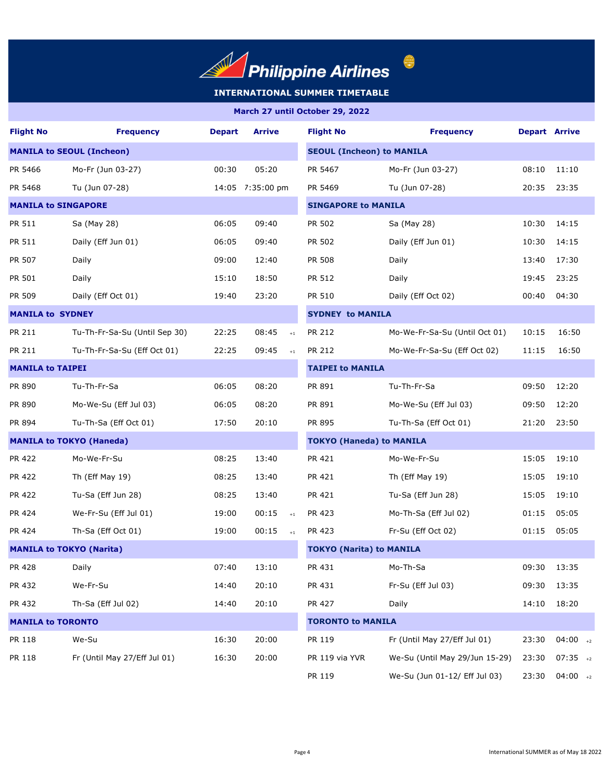

 $\begin{pmatrix} 1 & 1 \\ 1 & 1 \end{pmatrix}$ 

# **INTERNATIONAL SUMMER TIMETABLE**

| <b>Flight No</b>           | <b>Frequency</b>                 | <b>Depart</b> | Arrive           | <b>Flight No</b>                 | <b>Frequency</b>               | <b>Depart Arrive</b> |            |  |
|----------------------------|----------------------------------|---------------|------------------|----------------------------------|--------------------------------|----------------------|------------|--|
|                            | <b>MANILA to SEOUL (Incheon)</b> |               |                  | <b>SEOUL (Incheon) to MANILA</b> |                                |                      |            |  |
| PR 5466                    | Mo-Fr (Jun 03-27)                | 00:30         | 05:20            | PR 5467                          | Mo-Fr (Jun 03-27)              | 08:10                | 11:10      |  |
| PR 5468                    | Tu (Jun 07-28)                   |               | 14:05 7:35:00 pm | PR 5469                          | Tu (Jun 07-28)                 | 20:35                | 23:35      |  |
| <b>MANILA to SINGAPORE</b> |                                  |               |                  | <b>SINGAPORE to MANILA</b>       |                                |                      |            |  |
| PR 511                     | Sa (May 28)                      | 06:05         | 09:40            | PR 502                           | Sa (May 28)                    | 10:30                | 14:15      |  |
| PR 511                     | Daily (Eff Jun 01)               | 06:05         | 09:40            | PR 502                           | Daily (Eff Jun 01)             | 10:30                | 14:15      |  |
| PR 507                     | Daily                            | 09:00         | 12:40            | PR 508                           | Daily                          | 13:40                | 17:30      |  |
| PR 501                     | Daily                            | 15:10         | 18:50            | PR 512                           | Daily                          | 19:45                | 23:25      |  |
| PR 509                     | Daily (Eff Oct 01)               | 19:40         | 23:20            | PR 510                           | Daily (Eff Oct 02)             | 00:40                | 04:30      |  |
| <b>MANILA to SYDNEY</b>    |                                  |               |                  | <b>SYDNEY to MANILA</b>          |                                |                      |            |  |
| PR 211                     | Tu-Th-Fr-Sa-Su (Until Sep 30)    | 22:25         | 08:45<br>$\pm 1$ | PR 212                           | Mo-We-Fr-Sa-Su (Until Oct 01)  | 10:15                | 16:50      |  |
| PR 211                     | Tu-Th-Fr-Sa-Su (Eff Oct 01)      | 22:25         | 09:45<br>$+1$    | PR 212                           | Mo-We-Fr-Sa-Su (Eff Oct 02)    | 11:15                | 16:50      |  |
| <b>MANILA to TAIPEI</b>    |                                  |               |                  | <b>TAIPEI to MANILA</b>          |                                |                      |            |  |
| PR 890                     | Tu-Th-Fr-Sa                      | 06:05         | 08:20            | PR 891                           | Tu-Th-Fr-Sa                    | 09:50                | 12:20      |  |
| PR 890                     | Mo-We-Su (Eff Jul 03)            | 06:05         | 08:20            | PR 891                           | Mo-We-Su (Eff Jul 03)          | 09:50                | 12:20      |  |
| PR 894                     | Tu-Th-Sa (Eff Oct 01)            | 17:50         | 20:10            | PR 895                           | Tu-Th-Sa (Eff Oct 01)          | 21:20                | 23:50      |  |
|                            | <b>MANILA to TOKYO (Haneda)</b>  |               |                  | <b>TOKYO (Haneda) to MANILA</b>  |                                |                      |            |  |
| PR 422                     | Mo-We-Fr-Su                      | 08:25         | 13:40            | PR 421                           | Mo-We-Fr-Su                    | 15:05                | 19:10      |  |
| PR 422                     | Th (Eff May 19)                  | 08:25         | 13:40            | PR 421                           | Th (Eff May 19)                | 15:05                | 19:10      |  |
| PR 422                     | Tu-Sa (Eff Jun 28)               | 08:25         | 13:40            | PR 421                           | Tu-Sa (Eff Jun 28)             | 15:05                | 19:10      |  |
| PR 424                     | We-Fr-Su (Eff Jul 01)            | 19:00         | 00:15<br>$\pm 1$ | PR 423                           | Mo-Th-Sa (Eff Jul 02)          | 01:15                | 05:05      |  |
| PR 424                     | Th-Sa (Eff Oct 01)               | 19:00         | 00:15<br>$\pm 1$ | PR 423                           | Fr-Su (Eff Oct 02)             | 01:15                | 05:05      |  |
|                            | <b>MANILA to TOKYO (Narita)</b>  |               |                  | <b>TOKYO (Narita) to MANILA</b>  |                                |                      |            |  |
| PR 428                     | Daily                            | 07:40         | 13:10            | PR 431                           | Mo-Th-Sa                       | 09:30                | 13:35      |  |
| PR 432                     | We-Fr-Su                         | 14:40         | 20:10            | PR 431                           | Fr-Su (Eff Jul 03)             | 09:30                | 13:35      |  |
| PR 432                     | Th-Sa (Eff Jul 02)               | 14:40         | 20:10            | PR 427                           | Daily                          | 14:10                | 18:20      |  |
| <b>MANILA to TORONTO</b>   |                                  |               |                  | <b>TORONTO to MANILA</b>         |                                |                      |            |  |
| PR 118                     | We-Su                            | 16:30         | 20:00            | PR 119                           | Fr (Until May 27/Eff Jul 01)   | 23:30                | $04:00$ +2 |  |
| PR 118                     | Fr (Until May 27/Eff Jul 01)     | 16:30         | 20:00            | PR 119 via YVR                   | We-Su (Until May 29/Jun 15-29) | 23:30                | $07:35$ +2 |  |
|                            |                                  |               |                  | PR 119                           | We-Su (Jun 01-12/ Eff Jul 03)  | 23:30                | $04:00$ +2 |  |